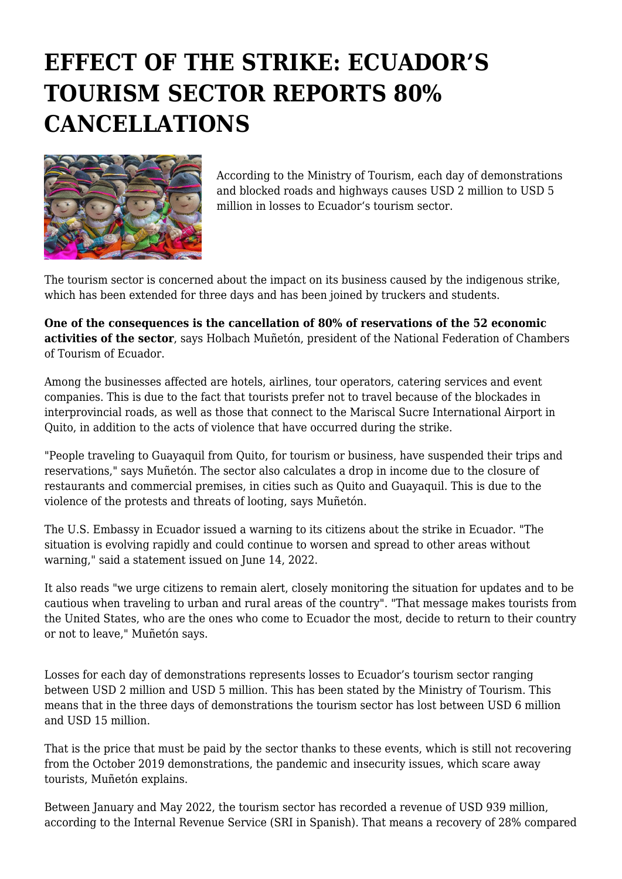## **EFFECT OF THE STRIKE: ECUADOR'S TOURISM SECTOR REPORTS 80% CANCELLATIONS**



According to the Ministry of Tourism, each day of demonstrations and blocked roads and highways causes USD 2 million to USD 5 million in losses to Ecuador's tourism sector.

The tourism sector is concerned about the impact on its business caused by the indigenous strike, which has been extended for three days and has been joined by truckers and students.

**One of the consequences is the cancellation of 80% of reservations of the 52 economic activities of the sector**, says Holbach Muñetón, president of the National Federation of Chambers of Tourism of Ecuador.

Among the businesses affected are hotels, airlines, tour operators, catering services and event companies. This is due to the fact that tourists prefer not to travel because of the blockades in interprovincial roads, as well as those that connect to the Mariscal Sucre International Airport in Quito, in addition to the acts of violence that have occurred during the strike.

"People traveling to Guayaquil from Quito, for tourism or business, have suspended their trips and reservations," says Muñetón. The sector also calculates a drop in income due to the closure of restaurants and commercial premises, in cities such as Quito and Guayaquil. This is due to the violence of the protests and threats of looting, says Muñetón.

The U.S. Embassy in Ecuador issued a warning to its citizens about the strike in Ecuador. "The situation is evolving rapidly and could continue to worsen and spread to other areas without warning," said a statement issued on June 14, 2022.

It also reads "we urge citizens to remain alert, closely monitoring the situation for updates and to be cautious when traveling to urban and rural areas of the country". "That message makes tourists from the United States, who are the ones who come to Ecuador the most, decide to return to their country or not to leave," Muñetón says.

Losses for each day of demonstrations represents losses to Ecuador's tourism sector ranging between USD 2 million and USD 5 million. This has been stated by the Ministry of Tourism. This means that in the three days of demonstrations the tourism sector has lost between USD 6 million and USD 15 million.

That is the price that must be paid by the sector thanks to these events, which is still not recovering from the October 2019 demonstrations, the pandemic and insecurity issues, which scare away tourists, Muñetón explains.

Between January and May 2022, the tourism sector has recorded a revenue of USD 939 million, according to the Internal Revenue Service (SRI in Spanish). That means a recovery of 28% compared